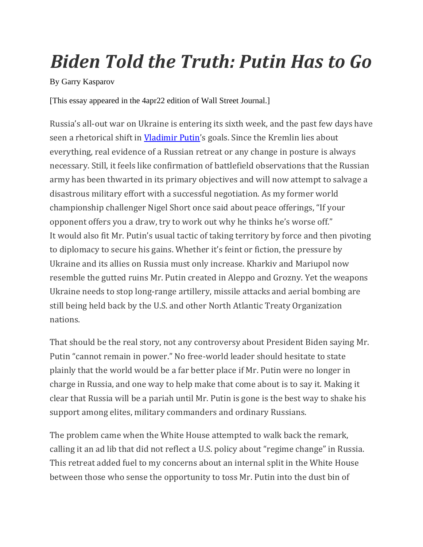## *Biden Told the Truth: Putin Has to Go*

By Garry Kasparov

[This essay appeared in the 4apr22 edition of Wall Street Journal.]

Russia's all-out war on Ukraine is entering its sixth week, and the past few days have seen a rhetorical shift in *[Vladimir Putin](https://www.wsj.com/topics/person/vladimir-putin)'s* goals. Since the Kremlin lies about everything, real evidence of a Russian retreat or any change in posture is always necessary. Still, it feels like confirmation of battlefield observations that the Russian army has been thwarted in its primary objectives and will now attempt to salvage a disastrous military effort with a successful negotiation. As my former world championship challenger Nigel Short once said about peace offerings, "If your opponent offers you a draw, try to work out why he thinks he's worse off." It would also fit Mr. Putin's usual tactic of taking territory by force and then pivoting to diplomacy to secure his gains. Whether it's feint or fiction, the pressure by Ukraine and its allies on Russia must only increase. Kharkiv and Mariupol now resemble the gutted ruins Mr. Putin created in Aleppo and Grozny. Yet the weapons Ukraine needs to stop long-range artillery, missile attacks and aerial bombing are still being held back by the U.S. and other North Atlantic Treaty Organization nations.

That should be the real story, not any controversy about President Biden saying Mr. Putin "cannot remain in power." No free-world leader should hesitate to state plainly that the world would be a far better place if Mr. Putin were no longer in charge in Russia, and one way to help make that come about is to say it. Making it clear that Russia will be a pariah until Mr. Putin is gone is the best way to shake his support among elites, military commanders and ordinary Russians.

The problem came when the White House attempted to walk back the remark, calling it an ad lib that did not reflect a U.S. policy about "regime change" in Russia. This retreat added fuel to my concerns about an internal split in the White House between those who sense the opportunity to toss Mr. Putin into the dust bin of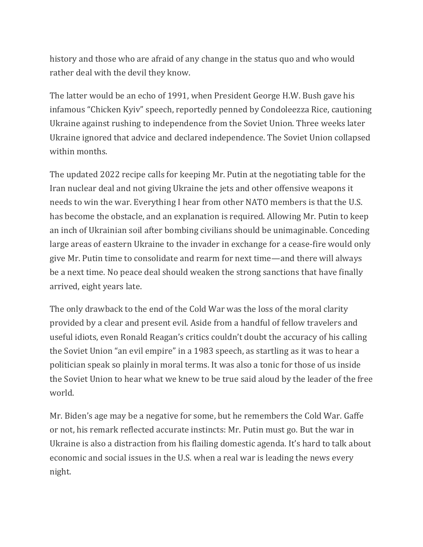history and those who are afraid of any change in the status quo and who would rather deal with the devil they know.

The latter would be an echo of 1991, when President George H.W. Bush gave his infamous "Chicken Kyiv" speech, reportedly penned by Condoleezza Rice, cautioning Ukraine against rushing to independence from the Soviet Union. Three weeks later Ukraine ignored that advice and declared independence. The Soviet Union collapsed within months.

The updated 2022 recipe calls for keeping Mr. Putin at the negotiating table for the Iran nuclear deal and not giving Ukraine the jets and other offensive weapons it needs to win the war. Everything I hear from other NATO members is that the U.S. has become the obstacle, and an explanation is required. Allowing Mr. Putin to keep an inch of Ukrainian soil after bombing civilians should be unimaginable. Conceding large areas of eastern Ukraine to the invader in exchange for a cease-fire would only give Mr. Putin time to consolidate and rearm for next time—and there will always be a next time. No peace deal should weaken the strong sanctions that have finally arrived, eight years late.

The only drawback to the end of the Cold War was the loss of the moral clarity provided by a clear and present evil. Aside from a handful of fellow travelers and useful idiots, even Ronald Reagan's critics couldn't doubt the accuracy of his calling the Soviet Union "an evil empire" in a 1983 speech, as startling as it was to hear a politician speak so plainly in moral terms. It was also a tonic for those of us inside the Soviet Union to hear what we knew to be true said aloud by the leader of the free world.

Mr. Biden's age may be a negative for some, but he remembers the Cold War. Gaffe or not, his remark reflected accurate instincts: Mr. Putin must go. But the war in Ukraine is also a distraction from his flailing domestic agenda. It's hard to talk about economic and social issues in the U.S. when a real war is leading the news every night.